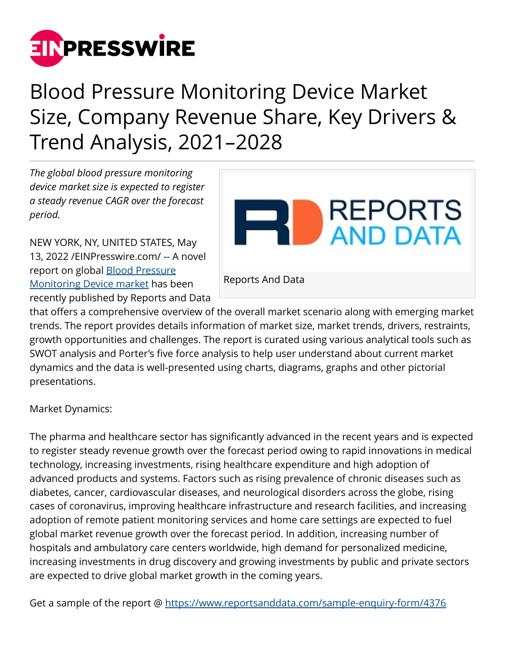

## Blood Pressure Monitoring Device Market Size, Company Revenue Share, Key Drivers & Trend Analysis, 2021–2028

*The global blood pressure monitoring device market size is expected to register a steady revenue CAGR over the forecast period.* 

NEW YORK, NY, UNITED STATES, May 13, 2022 /[EINPresswire.com/](http://www.einpresswire.com) -- A novel report on global [Blood Pressure](https://www.reportsanddata.com/report-detail/blood-pressure-monitoring-device-market) [Monitoring Device market](https://www.reportsanddata.com/report-detail/blood-pressure-monitoring-device-market) has been recently published by Reports and Data



that offers a comprehensive overview of the overall market scenario along with emerging market trends. The report provides details information of market size, market trends, drivers, restraints, growth opportunities and challenges. The report is curated using various analytical tools such as SWOT analysis and Porter's five force analysis to help user understand about current market dynamics and the data is well-presented using charts, diagrams, graphs and other pictorial presentations.

Market Dynamics:

The pharma and healthcare sector has significantly advanced in the recent years and is expected to register steady revenue growth over the forecast period owing to rapid innovations in medical technology, increasing investments, rising healthcare expenditure and high adoption of advanced products and systems. Factors such as rising prevalence of chronic diseases such as diabetes, cancer, cardiovascular diseases, and neurological disorders across the globe, rising cases of coronavirus, improving healthcare infrastructure and research facilities, and increasing adoption of remote patient monitoring services and home care settings are expected to fuel global market revenue growth over the forecast period. In addition, increasing number of hospitals and ambulatory care centers worldwide, high demand for personalized medicine, increasing investments in drug discovery and growing investments by public and private sectors are expected to drive global market growth in the coming years.

Get a sample of the report @<https://www.reportsanddata.com/sample-enquiry-form/4376>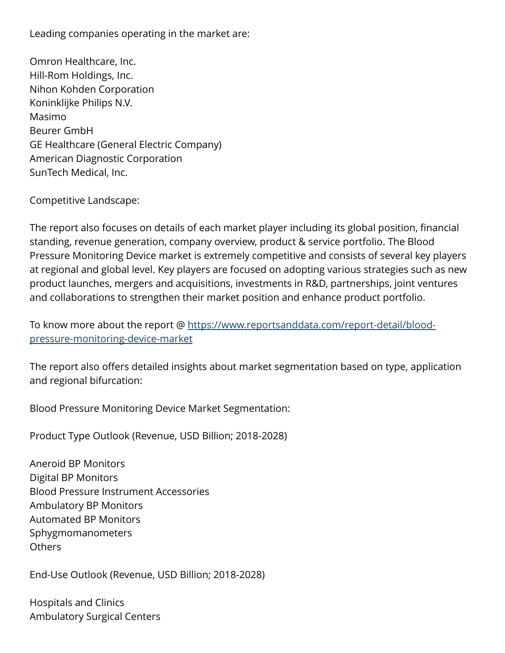Leading companies operating in the market are:

Omron Healthcare, Inc. Hill-Rom Holdings, Inc. Nihon Kohden Corporation Koninklijke Philips N.V. Masimo Beurer GmbH GE Healthcare (General Electric Company) American Diagnostic Corporation SunTech Medical, Inc.

Competitive Landscape:

The report also focuses on details of each market player including its global position, financial standing, revenue generation, company overview, product & service portfolio. The Blood Pressure Monitoring Device market is extremely competitive and consists of several key players at regional and global level. Key players are focused on adopting various strategies such as new product launches, mergers and acquisitions, investments in R&D, partnerships, joint ventures and collaborations to strengthen their market position and enhance product portfolio.

To know more about the report @ [https://www.reportsanddata.com/report-detail/blood](https://www.reportsanddata.com/report-detail/blood-pressure-monitoring-device-market)[pressure-monitoring-device-market](https://www.reportsanddata.com/report-detail/blood-pressure-monitoring-device-market)

The report also offers detailed insights about market segmentation based on type, application and regional bifurcation:

Blood Pressure Monitoring Device Market Segmentation:

Product Type Outlook (Revenue, USD Billion; 2018-2028)

Aneroid BP Monitors Digital BP Monitors Blood Pressure Instrument Accessories Ambulatory BP Monitors Automated BP Monitors Sphygmomanometers **Others** 

End-Use Outlook (Revenue, USD Billion; 2018-2028)

Hospitals and Clinics Ambulatory Surgical Centers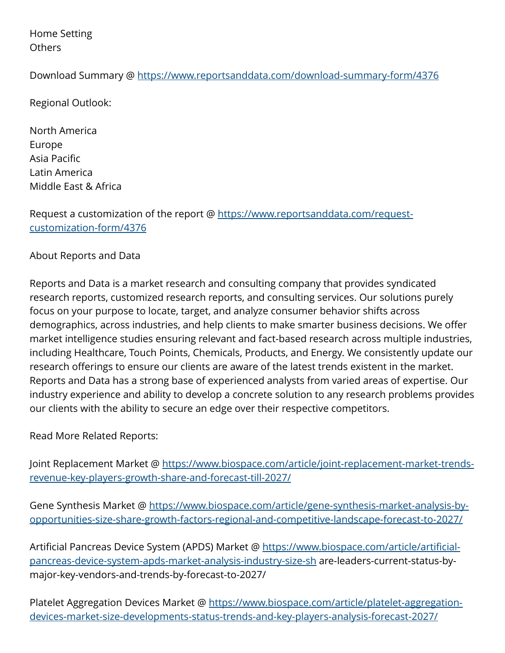Home Setting Others

Download Summary @ <https://www.reportsanddata.com/download-summary-form/4376>

Regional Outlook:

North America Europe Asia Pacific Latin America Middle East & Africa

Request a customization of the report @ [https://www.reportsanddata.com/request](https://www.reportsanddata.com/request-customization-form/4376)[customization-form/4376](https://www.reportsanddata.com/request-customization-form/4376)

About Reports and Data

Reports and Data is a market research and consulting company that provides syndicated research reports, customized research reports, and consulting services. Our solutions purely focus on your purpose to locate, target, and analyze consumer behavior shifts across demographics, across industries, and help clients to make smarter business decisions. We offer market intelligence studies ensuring relevant and fact-based research across multiple industries, including Healthcare, Touch Points, Chemicals, Products, and Energy. We consistently update our research offerings to ensure our clients are aware of the latest trends existent in the market. Reports and Data has a strong base of experienced analysts from varied areas of expertise. Our industry experience and ability to develop a concrete solution to any research problems provides our clients with the ability to secure an edge over their respective competitors.

Read More Related Reports:

Joint Replacement Market @ [https://www.biospace.com/article/joint-replacement-market-trends](https://www.biospace.com/article/joint-replacement-market-trends-revenue-key-players-growth-share-and-forecast-till-2027/)[revenue-key-players-growth-share-and-forecast-till-2027/](https://www.biospace.com/article/joint-replacement-market-trends-revenue-key-players-growth-share-and-forecast-till-2027/)

Gene Synthesis Market @ [https://www.biospace.com/article/gene-synthesis-market-analysis-by](https://www.biospace.com/article/gene-synthesis-market-analysis-by-opportunities-size-share-growth-factors-regional-and-competitive-landscape-forecast-to-2027/)[opportunities-size-share-growth-factors-regional-and-competitive-landscape-forecast-to-2027/](https://www.biospace.com/article/gene-synthesis-market-analysis-by-opportunities-size-share-growth-factors-regional-and-competitive-landscape-forecast-to-2027/)

Artificial Pancreas Device System (APDS) Market @ [https://www.biospace.com/article/artificial](https://www.biospace.com/article/artificial-pancreas-device-system-apds-market-analysis-industry-size-sh)[pancreas-device-system-apds-market-analysis-industry-size-sh](https://www.biospace.com/article/artificial-pancreas-device-system-apds-market-analysis-industry-size-sh) are-leaders-current-status-bymajor-key-vendors-and-trends-by-forecast-to-2027/

Platelet Aggregation Devices Market @ [https://www.biospace.com/article/platelet-aggregation](https://www.biospace.com/article/platelet-aggregation-devices-market-size-developments-status-trends-and-key-players-analysis-forecast-2027/)[devices-market-size-developments-status-trends-and-key-players-analysis-forecast-2027/](https://www.biospace.com/article/platelet-aggregation-devices-market-size-developments-status-trends-and-key-players-analysis-forecast-2027/)